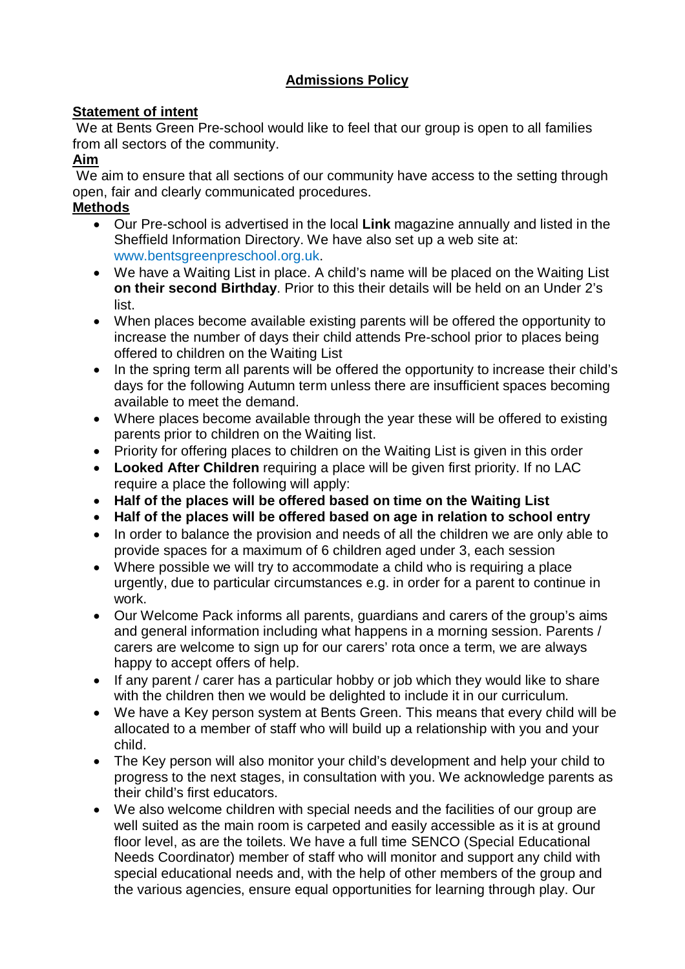## **Admissions Policy**

## **Statement of intent**

We at Bents Green Pre-school would like to feel that our group is open to all families from all sectors of the community.

## **Aim**

We aim to ensure that all sections of our community have access to the setting through open, fair and clearly communicated procedures.

## **Methods**

- Our Pre-school is advertised in the local **Link** magazine annually and listed in the Sheffield Information Directory. We have also set up a web site at: www.bentsgreenpreschool.org.uk.
- We have a Waiting List in place. A child's name will be placed on the Waiting List **on their second Birthday**. Prior to this their details will be held on an Under 2's list.
- When places become available existing parents will be offered the opportunity to increase the number of days their child attends Pre-school prior to places being offered to children on the Waiting List
- In the spring term all parents will be offered the opportunity to increase their child's days for the following Autumn term unless there are insufficient spaces becoming available to meet the demand.
- Where places become available through the year these will be offered to existing parents prior to children on the Waiting list.
- Priority for offering places to children on the Waiting List is given in this order
- **Looked After Children** requiring a place will be given first priority. If no LAC require a place the following will apply:
- **Half of the places will be offered based on time on the Waiting List**
- **Half of the places will be offered based on age in relation to school entry**
- In order to balance the provision and needs of all the children we are only able to provide spaces for a maximum of 6 children aged under 3, each session
- Where possible we will try to accommodate a child who is requiring a place urgently, due to particular circumstances e.g. in order for a parent to continue in work.
- Our Welcome Pack informs all parents, guardians and carers of the group's aims and general information including what happens in a morning session. Parents / carers are welcome to sign up for our carers' rota once a term, we are always happy to accept offers of help.
- If any parent / carer has a particular hobby or job which they would like to share with the children then we would be delighted to include it in our curriculum.
- We have a Key person system at Bents Green. This means that every child will be allocated to a member of staff who will build up a relationship with you and your child.
- The Key person will also monitor your child's development and help your child to progress to the next stages, in consultation with you. We acknowledge parents as their child's first educators.
- We also welcome children with special needs and the facilities of our group are well suited as the main room is carpeted and easily accessible as it is at ground floor level, as are the toilets. We have a full time SENCO (Special Educational Needs Coordinator) member of staff who will monitor and support any child with special educational needs and, with the help of other members of the group and the various agencies, ensure equal opportunities for learning through play. Our